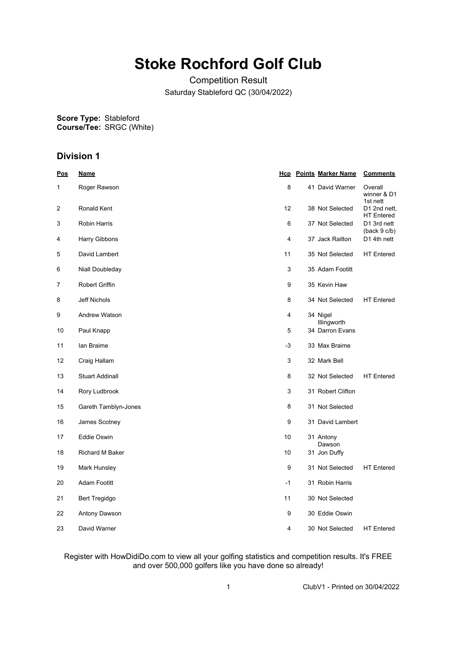# **Stoke Rochford Golf Club**

Competition Result Saturday Stableford QC (30/04/2022)

**Score Type: Course/Tee:** Stableford SRGC (White)

# **Division 1**

| <u>Pos</u>              | <u>Name</u>            |      | <b>Hcp</b> Points Marker Name | <b>Comments</b>                               |
|-------------------------|------------------------|------|-------------------------------|-----------------------------------------------|
| 1                       | Roger Rawson           | 8    | 41 David Warner               | Overall<br>winner & D1                        |
| $\overline{\mathbf{c}}$ | Ronald Kent            | 12   | 38 Not Selected               | 1st nett<br>D1 2nd nett,<br><b>HT Entered</b> |
| 3                       | <b>Robin Harris</b>    | 6    | 37 Not Selected               | D1 3rd nett<br>(back 9 c/b)                   |
| 4                       | Harry Gibbons          | 4    | 37 Jack Railton               | D1 4th nett                                   |
| 5                       | David Lambert          | 11   | 35 Not Selected               | <b>HT</b> Entered                             |
| 6                       | Niall Doubleday        | 3    | 35 Adam Footitt               |                                               |
| 7                       | Robert Griffin         | 9    | 35 Kevin Haw                  |                                               |
| 8                       | Jeff Nichols           | 8    | 34 Not Selected               | <b>HT</b> Entered                             |
| 9                       | Andrew Watson          | 4    | 34 Nigel<br>Illingworth       |                                               |
| 10                      | Paul Knapp             | 5    | 34 Darron Evans               |                                               |
| 11                      | lan Braime             | -3   | 33 Max Braime                 |                                               |
| 12                      | Craig Hallam           | 3    | 32 Mark Bell                  |                                               |
| 13                      | <b>Stuart Addinall</b> | 8    | 32 Not Selected               | <b>HT</b> Entered                             |
| 14                      | Rory Ludbrook          | 3    | 31 Robert Clifton             |                                               |
| 15                      | Gareth Tamblyn-Jones   | 8    | 31 Not Selected               |                                               |
| 16                      | James Scotney          | 9    | 31 David Lambert              |                                               |
| 17                      | Eddie Oswin            | 10   | 31 Antony<br>Dawson           |                                               |
| 18                      | Richard M Baker        | 10   | 31 Jon Duffy                  |                                               |
| 19                      | Mark Hunsley           | 9    | 31 Not Selected               | <b>HT</b> Entered                             |
| 20                      | <b>Adam Footitt</b>    | $-1$ | 31 Robin Harris               |                                               |
| 21                      | Bert Tregidgo          | 11   | 30 Not Selected               |                                               |
| 22                      | Antony Dawson          | 9    | 30 Eddie Oswin                |                                               |
| 23                      | David Warner           | 4    | 30 Not Selected               | <b>HT</b> Entered                             |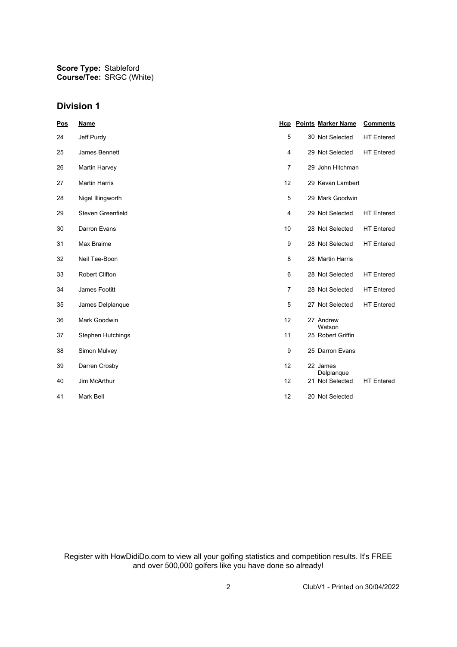## **Division 1**

| Pos | <b>Name</b>              | Hcp            | <b>Points Marker Name</b>     | <b>Comments</b>   |
|-----|--------------------------|----------------|-------------------------------|-------------------|
| 24  | Jeff Purdy               | 5              | 30 Not Selected               | <b>HT</b> Entered |
| 25  | James Bennett            | 4              | 29 Not Selected               | <b>HT</b> Entered |
| 26  | Martin Harvey            | 7              | 29 John Hitchman              |                   |
| 27  | <b>Martin Harris</b>     | 12             | 29 Kevan Lambert              |                   |
| 28  | Nigel Illingworth        | 5              | 29 Mark Goodwin               |                   |
| 29  | Steven Greenfield        | 4              | 29 Not Selected               | <b>HT</b> Entered |
| 30  | Darron Evans             | 10             | 28 Not Selected               | <b>HT</b> Entered |
| 31  | Max Braime               | 9              | 28 Not Selected               | <b>HT</b> Entered |
| 32  | Neil Tee-Boon            | 8              | 28 Martin Harris              |                   |
| 33  | <b>Robert Clifton</b>    | 6              | 28 Not Selected               | <b>HT</b> Entered |
| 34  | James Footitt            | $\overline{7}$ | 28 Not Selected               | <b>HT</b> Entered |
| 35  | James Delplanque         | 5              | 27 Not Selected               | <b>HT</b> Entered |
| 36  | Mark Goodwin             | 12             | 27 Andrew<br>Watson           |                   |
| 37  | <b>Stephen Hutchings</b> | 11             | 25 Robert Griffin             |                   |
| 38  | Simon Mulvey             | 9              | 25 Darron Evans               |                   |
| 39  | Darren Crosby            | 12             | 22 James                      |                   |
| 40  | Jim McArthur             | 12             | Delplanque<br>21 Not Selected | <b>HT</b> Entered |
| 41  | Mark Bell                | 12             | 20 Not Selected               |                   |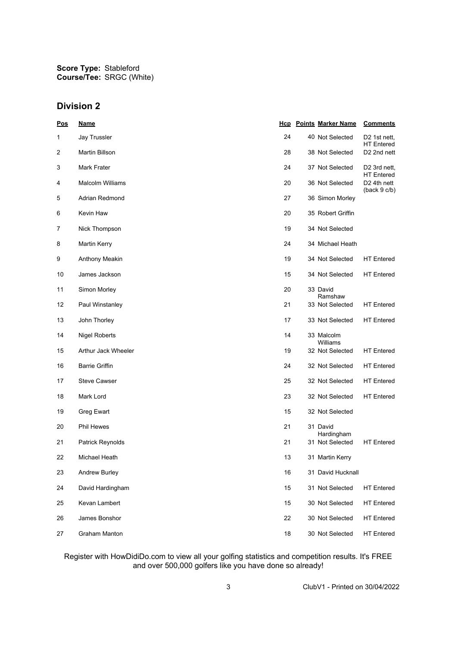## **Division 2**

| Pos | <b>Name</b>             |    | <b>Hcp</b> Points Marker Name | <b>Comments</b>                               |
|-----|-------------------------|----|-------------------------------|-----------------------------------------------|
| 1   | Jay Trussler            | 24 | 40 Not Selected               | D2 1st nett,<br><b>HT Entered</b>             |
| 2   | Martin Billson          | 28 | 38 Not Selected               | D <sub>2</sub> 2nd nett                       |
| 3   | Mark Frater             | 24 | 37 Not Selected               | D <sub>2</sub> 3rd nett,<br><b>HT Entered</b> |
| 4   | <b>Malcolm Williams</b> | 20 | 36 Not Selected               | D2 4th nett                                   |
| 5   | Adrian Redmond          | 27 | 36 Simon Morley               | (back 9 c/b)                                  |
| 6   | Kevin Haw               | 20 | 35 Robert Griffin             |                                               |
| 7   | Nick Thompson           | 19 | 34 Not Selected               |                                               |
| 8   | Martin Kerry            | 24 | 34 Michael Heath              |                                               |
| 9   | Anthony Meakin          | 19 | 34 Not Selected               | <b>HT</b> Entered                             |
| 10  | James Jackson           | 15 | 34 Not Selected               | <b>HT</b> Entered                             |
| 11  | Simon Morley            | 20 | 33 David<br>Ramshaw           |                                               |
| 12  | Paul Winstanley         | 21 | 33 Not Selected               | <b>HT</b> Entered                             |
| 13  | John Thorley            | 17 | 33 Not Selected               | <b>HT Entered</b>                             |
| 14  | <b>Nigel Roberts</b>    | 14 | 33 Malcolm<br>Williams        |                                               |
| 15  | Arthur Jack Wheeler     | 19 | 32 Not Selected               | <b>HT</b> Entered                             |
| 16  | <b>Barrie Griffin</b>   | 24 | 32 Not Selected               | <b>HT</b> Entered                             |
| 17  | <b>Steve Cawser</b>     | 25 | 32 Not Selected               | <b>HT</b> Entered                             |
| 18  | Mark Lord               | 23 | 32 Not Selected               | <b>HT</b> Entered                             |
| 19  | Greg Ewart              | 15 | 32 Not Selected               |                                               |
| 20  | <b>Phil Hewes</b>       | 21 | 31 David<br>Hardingham        |                                               |
| 21  | Patrick Reynolds        | 21 | 31 Not Selected               | <b>HT</b> Entered                             |
| 22  | Michael Heath           | 13 | 31 Martin Kerry               |                                               |
| 23  | Andrew Burley           | 16 | 31 David Hucknall             |                                               |
| 24  | David Hardingham        | 15 | 31 Not Selected               | <b>HT</b> Entered                             |
| 25  | Kevan Lambert           | 15 | 30 Not Selected               | <b>HT Entered</b>                             |
| 26  | James Bonshor           | 22 | 30 Not Selected               | <b>HT Entered</b>                             |
| 27  | Graham Manton           | 18 | 30 Not Selected               | <b>HT Entered</b>                             |